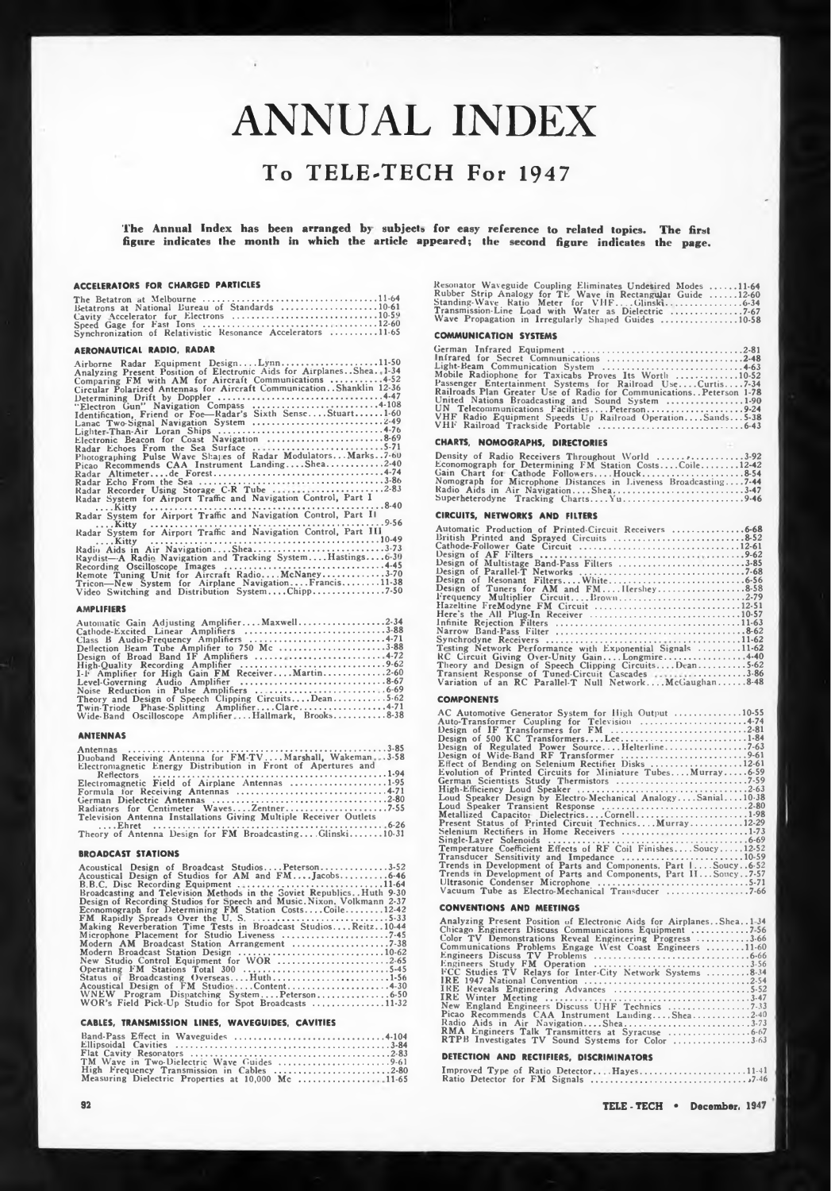# ANNUAL INDEX

### **To TELE-TECH For 1947**

**The Annual Index has been arranged by subject\* fur easy reference to related topics. The first figure indicates the month in which the article appeared; the second figure indicates the page.**

#### **ACCELERATORS FOR CHARGED PARTICLES**

|                                  | <b>ACCELERATORS FOR CHARGED PARTICLES</b>                                                                                    |  |
|----------------------------------|------------------------------------------------------------------------------------------------------------------------------|--|
|                                  | Betatrons at National Bureau of Standards 10-61                                                                              |  |
|                                  | Cavity Accelerator for Electrons<br>Speed Gage for Fast Ions<br>Synchronization of Relativistic Resonance Accelerators 11-65 |  |
| <b>AERONAUTICAL RADIO. RADAR</b> |                                                                                                                              |  |

#### **AERONAUTICAL RADIO, RADAR**

#### **AMPLIFIERS**

| Raydist-A Radio Navigation and Tracking SystemHastings6-30<br>Remote Tuning Unit for Aircraft RadioMcNaney3-70<br>Tricon-New System for Airplane NavigationFrancis11-38                                                                                                                                                                                                                                      |
|--------------------------------------------------------------------------------------------------------------------------------------------------------------------------------------------------------------------------------------------------------------------------------------------------------------------------------------------------------------------------------------------------------------|
| <b>AMPLIFIERS</b>                                                                                                                                                                                                                                                                                                                                                                                            |
| Automatic Gain Adjusting AmplifierMaxwell2-34<br>Cathode-Excited Linear Amplifiers 3-88<br>Deflection Beam Tube Amplifier to 750 Mc 3-88<br>Design of Broad Band IF Amplifiers  4-72<br>I-F Amplifier for High Gain FM ReceiverMartin2-60<br>Theory and Design of Speech Clipping CircuitsDean5-62<br>Twin-Triode Phase-Splitting AmplifierClare4-71<br>Wide-Band Oscilloscope AmplifierHallmark, Brooks8-38 |

#### **ANTENNAS**

| Duoband Receiving Antenna for FM-TVMarshall, Wakeman.  3-58<br>Electromagnetic Energy Distribution in Front of Apertures and |
|------------------------------------------------------------------------------------------------------------------------------|
| Electromagnetic Field of Airplane Antennas 1-95                                                                              |
|                                                                                                                              |
| Television Antenna Installations Giving Multiple Receiver Outlets                                                            |
| Theory of Antenna Design for FM BroadcastingGlinski10-31                                                                     |
| <b>BROADCAST STATIONS</b>                                                                                                    |

#### **BROADCAST STATIONS**

#### **CABLES, TRANSMISSION LINES, WAVEGUIDES, CAVITIES**

| High Frequency Transmission in Cables 2-80         |  |
|----------------------------------------------------|--|
| Measuring Dielectric Properties at 10,000 Mc 11-65 |  |

| Resonator Waveguide Coupling Eliminates Undesired Modes 11-64 |  |
|---------------------------------------------------------------|--|
| Rubber Strip Analogy for TE Wave in Rectangular Guide 12-60   |  |
|                                                               |  |
| Transmission-Line Load with Water as Dielectric 7-67          |  |
| Wave Propagation in Irregularly Shaped Guides 10-58           |  |

#### **COMMUNICATION SYSTEMS**

| Infrared for Secret Communications 2-48                               |
|-----------------------------------------------------------------------|
|                                                                       |
| Mobile Radiophone for Taxicabs Proves Its Worth 10-52                 |
| Passenger Entertainment Systems for Railroad UseCurtis7-34            |
| Railroads Plan Greater Use of Radio for Communications. Peterson 1-78 |
| United Nations Broadcasting and Sound System 1-90                     |
|                                                                       |
| VHF Radio Equipment Speeds Up Railroad OperationSands5-38             |
|                                                                       |

#### **CHARTS, NOMOGRAPHS, DIRECTORIES**

| Density of Radio Receivers Throughout World 3-92                |
|-----------------------------------------------------------------|
| Economograph for Determining FM Station CostsCoile12-42         |
|                                                                 |
| Nomograph for Microphone Distances in Liveness Broadcasting7-44 |
| Radio Aids in Air NavigationShea3-47                            |
|                                                                 |
|                                                                 |

#### **CIRCUITS, NETWORKS AND FILTERS**

| CIRCUITS, NETWORKS AND FILTERS                                                                               |
|--------------------------------------------------------------------------------------------------------------|
| Automatic Production of Printed-Circuit Receivers 6-68                                                       |
|                                                                                                              |
| Design of Multistage Band-Pass Filters 3-85                                                                  |
|                                                                                                              |
|                                                                                                              |
|                                                                                                              |
|                                                                                                              |
| Testing Network Performance with Exponential Signals 11-62                                                   |
| RC Circuit Giving Over-Unity GainLongmire440<br>Theory and Design of Speech Clipping CircuitsDean5-62        |
| Transient Response of Tuned-Circuit Cascades 3-86<br>Variation of an RC Parallel-T Null NetworkMcGaughan8-48 |
|                                                                                                              |

#### **COMPONENTS**

| AC Automotive Generator System for High Output 10-55            |
|-----------------------------------------------------------------|
| Auto-Transformer Coupling for Television 4-74                   |
|                                                                 |
|                                                                 |
|                                                                 |
|                                                                 |
| Effect of Bending on Selenium Rectifier Disks 12-61             |
| Evolution of Printed Circuits for Miniature TubesMurray6-59     |
|                                                                 |
|                                                                 |
| Loud Speaker Design by Electro-Mechanical AnalogySanial10.38    |
|                                                                 |
| Metallized Capacitor DielectricsCornell1-98                     |
| Present Status of Printed Circuit TechnicsMurray12-29           |
| Selenium Rectifiers in Home Receivers 1-73                      |
|                                                                 |
| Temperature Coefficient Effects of RF Coil FinishesSoucy12-52   |
|                                                                 |
| Trends in Development of Parts and Components, Part 1 Soucy6.52 |
| Trends in Development of Parts and Components, Part IISoucy7-57 |
|                                                                 |
|                                                                 |
|                                                                 |

#### **CONVENTIONS AND MEETINGS**

| Analyzing Present Position of Electronic Aids for Airplanes. Shea. 1-34                           |
|---------------------------------------------------------------------------------------------------|
| Color TV Demonstrations Reveal Engineering Progress 3-66                                          |
| Communications Problems Engage West Coast Engineers 11.60                                         |
|                                                                                                   |
|                                                                                                   |
| FCC Studies TV Relays for Inter-City Network Systems 8-34                                         |
|                                                                                                   |
|                                                                                                   |
|                                                                                                   |
| New England Engineers Discuss UHF Technics 7-33                                                   |
| Picao Recommends CAA Instrument LandingShea2-40                                                   |
|                                                                                                   |
|                                                                                                   |
| RTPB Investigates TV Sound Systems for Color 3.63                                                 |
| $1.11$ $1.11$ $1.11$ $1.11$ $1.11$ $1.11$ $1.11$ $1.11$ $1.11$ $1.11$ $1.11$ $1.11$ $1.11$ $1.11$ |

#### **DETECTION AND RECTIFIERS, DISCRIMINATORS**

|  |  | Improved Type of Ratio DetectorHayes11-41 |  |
|--|--|-------------------------------------------|--|
|  |  |                                           |  |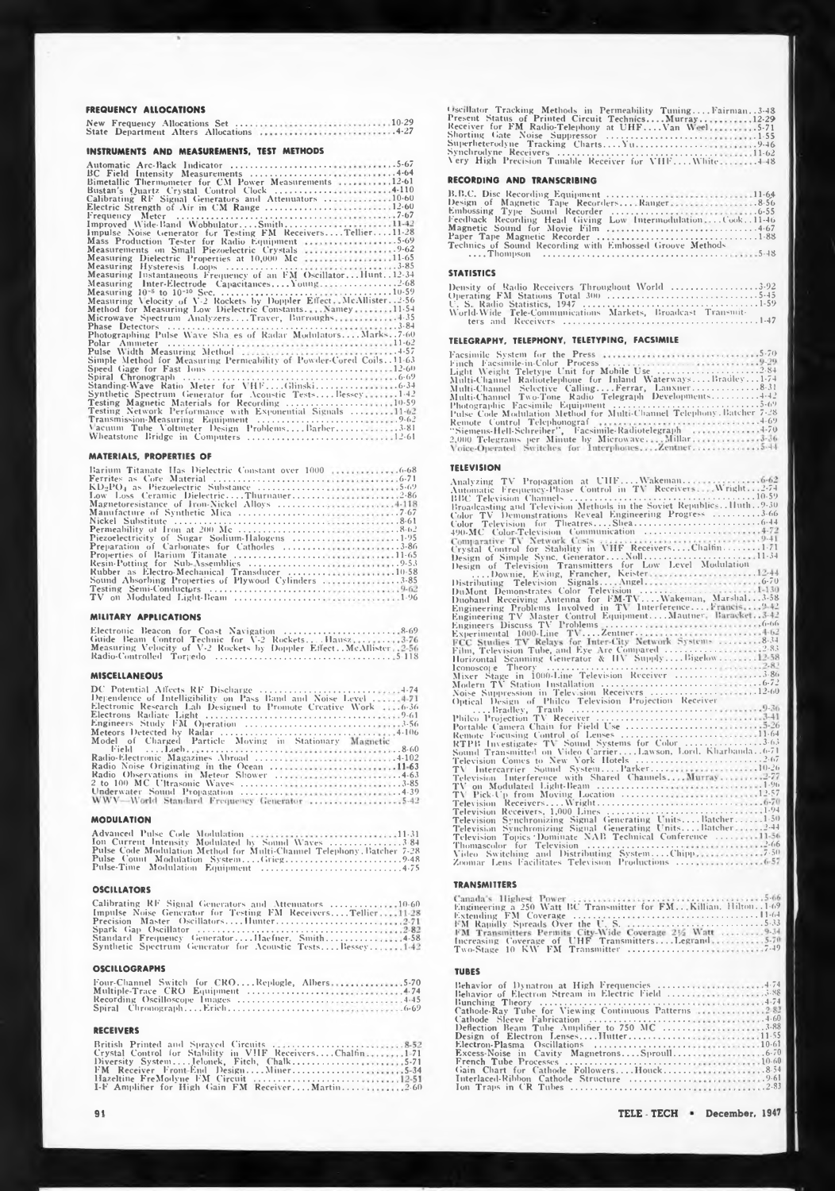#### **FREQUENCY ALLOCATIONS**

#### **INSTRUMENTS AND MEASUREMENTS, TEST METHODS**

| BC Field Intensity Measurements 4-64                                     |
|--------------------------------------------------------------------------|
| Bimetallic Thermometer for CM Power Measurements 12.61                   |
| Bustan's Quartz Crystal Control Clock 4-110                              |
| Calibrating RF Signal Generators and Attenuators 10-60                   |
|                                                                          |
|                                                                          |
|                                                                          |
| Impulse Noise Generator for Testing FM ReceiversTellier11-28             |
|                                                                          |
|                                                                          |
| Measuring Dielectric Properties at 10,000 Mc 11-65                       |
|                                                                          |
| Measuring Instantaneous Frequency of an FM Oscillator Hunt. . 12-34      |
| Measuring Inter-Electrode Capacitances, $\ldots$ Young2.68               |
|                                                                          |
| Measuring Velocity of V-2 Rockets by Doppler Effect, McAllister. $.2-56$ |
| Method for Measuring Low Dielectric Constants Namey11.54                 |
| Microwave Spectrum AnalyzersTraver, Burroughs4-35                        |
|                                                                          |
| Photographing Pulse Wave Sha es of Radar ModulatorsMarks7-60             |
|                                                                          |
|                                                                          |
| Simple Method for Measuring Permeability of Powder-Cored Coils11-63      |
|                                                                          |
|                                                                          |
|                                                                          |
| Synthetic Spectrum Generator for Acoustic TestsBessey1-42                |
| <b>Testing Magnetic Materials for Recording </b> 10-59                   |
| Testing Network Performance with Exponential Signals 11-62               |
|                                                                          |
| Vacuum Tube Voltmeter Design ProblemsBarber3-81                          |
|                                                                          |

#### **MATERIALS, PROPERTIES OF**

| Barium Titanate Has Dielectric Constant over 1000 6-68 |
|--------------------------------------------------------|
|                                                        |
|                                                        |
|                                                        |
|                                                        |
|                                                        |
|                                                        |
|                                                        |
|                                                        |
| <b>Preparation of Carbonates for Cathodes</b> 3-86     |
|                                                        |
|                                                        |
|                                                        |
| Sound Absorbing Properties of Plywood Cylinders 3-85   |
|                                                        |
|                                                        |

#### **MILITARY APPLICATIONS**

| Guide Beam Control Technic for V-2 RocketsHausz3-76                   |
|-----------------------------------------------------------------------|
| Measuring Velocity of V-2 Rockets by Doppler Effect. McAllister. 2-56 |
|                                                                       |

#### **MISCELLANEOUS**

| Dependence of Intelligibility on Pass Band and Noise Level 4-71 |
|-----------------------------------------------------------------|
| Electronic Research Lah Designed to Promote Creative Work  6-36 |
|                                                                 |
|                                                                 |
|                                                                 |
| Model of Charged Particle Moving in Stationary Magnetic         |
|                                                                 |
|                                                                 |
| Radio Noise Originating in the Ocean 11-63                      |
|                                                                 |
|                                                                 |
|                                                                 |
| WWV-World Standard Frequency Generator 5-42                     |

#### **MODULATION**

| Ion Current Intensity Modulated by Sound Wayes 3.84                    |  |
|------------------------------------------------------------------------|--|
| Pulse Code Modulation Method for Multi-Channel Telephony, Batcher 7-28 |  |
|                                                                        |  |
|                                                                        |  |

#### **OSCILLATORS**

| Calibrating RF Signal Generators and Attenuators 10-60       |  |
|--------------------------------------------------------------|--|
| Impulse Noise Generator for Testing FM ReceiversTellier11-28 |  |
|                                                              |  |
|                                                              |  |
| Standard Frequency GeneratorHaefner, Smith4-58               |  |
| Synthetic Spectrum Generator for Acoustic TestsBessey142     |  |

#### **OSCILLOGRAPHS**

| Four-Channel Switch for CROReplogle, Albers5-70 |  |
|-------------------------------------------------|--|
|                                                 |  |
|                                                 |  |
|                                                 |  |

#### **RECEIVERS**

| Crystal Control for Stability in VHF ReceiversChalfin1-71 |  |
|-----------------------------------------------------------|--|
|                                                           |  |
| FM Receiver Front-End DesignMiner5-34                     |  |
|                                                           |  |
| I-F Amplifier for High Gain FM ReceiverMartin2.60         |  |

Oscillator Tracking Methods in Permeability Tuning....<br>Present Status of Printed Circuit Technics....Murray...<br>Receiver for FM Radio-Telephony at UHF....Van Weel<br>Shorting Gate Noise Suppressor ....Yu....................... **. Fairman. .3-48** Synchrodyne Receivers<br>Very High Precision Tunable Receiver for VHF....White **12-29 .5-71 .1-55 .9-46 11-62 .4 48**

### **RECORDING AND TRANSCRIBING**

| Feedback Recording Head Giving Low IntermodulationCook11-46 |
|-------------------------------------------------------------|
|                                                             |
|                                                             |
| Technics of Sound Recording with Embossed Groove Methods    |
|                                                             |

#### **STATISTICS**

| Density of Radio Receivers Throughout World 3-92            |  |  |
|-------------------------------------------------------------|--|--|
|                                                             |  |  |
|                                                             |  |  |
| World-Wide Tele-Communications Markets, Broadcast Transmit- |  |  |
|                                                             |  |  |

#### **TELEGRAPHY, TELEPHONY, TELETYPING, FACSIMILE**

| Light Weight Teletype Unit for Mobile Use 2.84                        |
|-----------------------------------------------------------------------|
| Multi-Channel Radiotelephone for Inland WaterwaysBradley1-74          |
| Multi-Channel Selective CallingFerrar, Lanxner8-31                    |
|                                                                       |
|                                                                       |
| Pulse Code Modulation Method for Multi-Channel Telephony Batcher 7-28 |
| Remote Control Telephonograf $\cdots$                                 |
| "Siemens-Hell-Schreiber", Facsimile-Radiotelegraph  4-70              |
| 2,000 Telegrams per Minute by MicrowaveMillar3-36                     |
|                                                                       |

#### **TELEVISION**

| Color TV Demonstrations Reveal Engineering Progress 3-66                                                  |
|-----------------------------------------------------------------------------------------------------------|
|                                                                                                           |
| 490-MC Color-Television Communication 4-72                                                                |
|                                                                                                           |
|                                                                                                           |
|                                                                                                           |
| Design of Simple Sync. GeneratorNoll11-34                                                                 |
|                                                                                                           |
|                                                                                                           |
|                                                                                                           |
| DuMont Demonstrates Color Television<br>Duoband Receiving Antenna for FM-TVWakeman, Marshal3-58           |
|                                                                                                           |
|                                                                                                           |
| Engineering Problems Involved in TV InterferenceFrancis 9.42                                              |
| Engineering TV Master Control EquipmentMautner, Baracket3-42                                              |
|                                                                                                           |
| Experimental 1000-Line TVZentner4-62                                                                      |
| FCC Studies TV Relays for Inter-City Network Systems  8-34                                                |
|                                                                                                           |
| Film, Television Tube, and Eye Are Compared 2-83<br>Horizontal Scanning Generator & HV SupplyBigelow12-58 |
|                                                                                                           |
|                                                                                                           |
|                                                                                                           |
|                                                                                                           |
| Noise Suppression in Television Receivers 12-60                                                           |
| Optical Design of Philco Television Projection Receiver                                                   |
|                                                                                                           |
|                                                                                                           |
|                                                                                                           |
|                                                                                                           |
| RTPB Investigates TV Sound Systems for Color 3-63                                                         |
| Sound Transmitted on Video CarrierLawson, Lord. Kharbanda6-71                                             |
| Television Comes to New York Hotels 2.67                                                                  |
| TV Intercarrier Sound SystemParker10-26                                                                   |
| Television Interference with Shared Channels Murray 2-77                                                  |
|                                                                                                           |
|                                                                                                           |
| TV Pick-Up from Moving Location 12-57                                                                     |
|                                                                                                           |
|                                                                                                           |
|                                                                                                           |
| Television Synchronizing Signal Generating UnitsBatcher2-44                                               |
| Television Topics Dominate NAB Technical Conference 11-56                                                 |
|                                                                                                           |
|                                                                                                           |
|                                                                                                           |
|                                                                                                           |

#### **TRANSMITTERS**

| Engineering a 250 Watt BC Transmitter for FMKillian, Hilton1-69 |
|-----------------------------------------------------------------|
|                                                                 |
|                                                                 |
|                                                                 |
| Increasing Coverage of UHF TransmittersLegrand5-70              |
|                                                                 |

#### **TUBES**

| Behavior of Dynatron at High Frequencies 4.74        |
|------------------------------------------------------|
|                                                      |
|                                                      |
| Cathode Ray Tube for Viewing Continuous Patterns 282 |
|                                                      |
| Deflection Beam Tube Amplifier to 750 MC 3-88        |
| Design of Electron LensesHutter11.55                 |
|                                                      |
|                                                      |
|                                                      |
| Gain Chart for Cathode FollowersHouck8.54            |
|                                                      |
|                                                      |